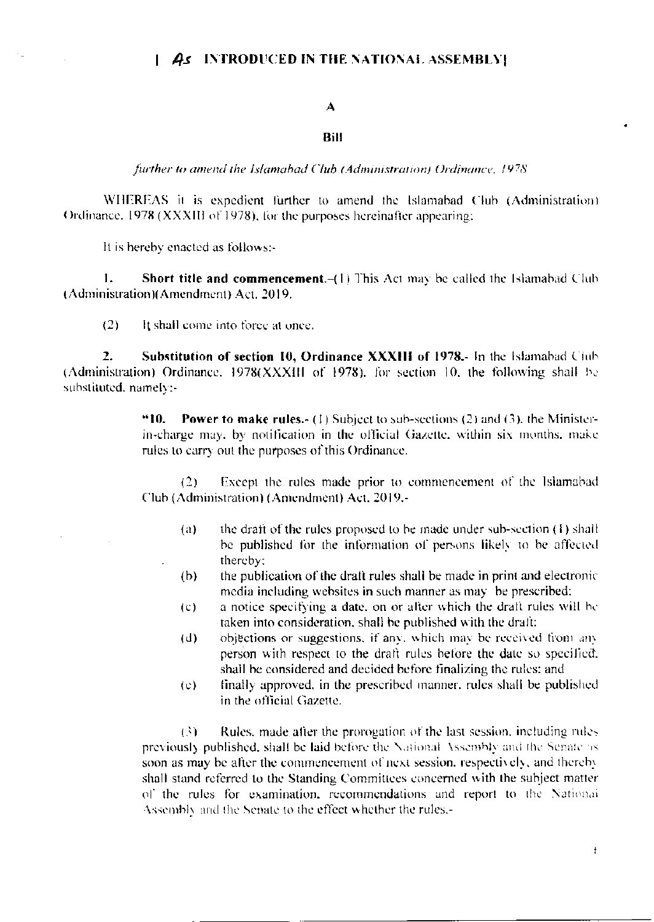## A

## **Bill**

further to amend the Islamabad Club (Administration) Ordinance, 1978

WHEREAS it is expedient further to amend the Islamabad Club (Administration) Ordinance, 1978 (XXXIII of 1978), for the purposes hereinafter appearing:

It is hereby enacted as follows:-

 $\mathbf{1}$ . **Short title and commencement.** $-(1)$  This Act may be called the Islamabad Club (Administration)(Amendment) Act, 2019.

 $(2)$ It shall come into force at once.

 $\overline{2}$ . Substitution of section 10, Ordinance XXXIII of 1978.- In the Islamabad Club (Administration) Ordinance, 1978(XXXIII of 1978), for section 10, the following shall be substituted, namely:-

> "10. **Power to make rules.** (1) Subject to sub-sections (2) and (3), the Ministerin-charge may, by notification in the official Gazette, within six months, make rules to carry out the purposes of this Ordinance.

> $(2)$ Except the rules made prior to commencement of the Islamabad Club (Administration) (Amendment) Act, 2019,-

- the draft of the rules proposed to be made under sub-section  $(1)$  shall  $(a)$ be published for the information of persons likely to be affected thereby:
- the publication of the draft rules shall be made in print and electronic  $(b)$ media including websites in such manner as may be prescribed:
- a notice specifying a date, on or after which the draft rules will be  $(c)$ taken into consideration, shall be published with the draft:
- objections or suggestions, if any, which may be received from any  $(d)$ person with respect to the draft rules before the date so specified. shall be considered and decided before finalizing the rules: and
- finally approved, in the prescribed manner, rules shall be published  $(e)$ in the official Gazette.

 $\ddot{\phantom{a}}$ 

 $(3)$ Rules, made after the prorogation of the last session, including rules previously published, shall be laid before the National Assembly and the Senate as soon as may be after the commencement of next session, respectively, and thereby shall stand referred to the Standing Committees concerned with the subject matter of the rules for examination, recommendations and report to the National Assembly and the Senate to the effect whether the rules.-